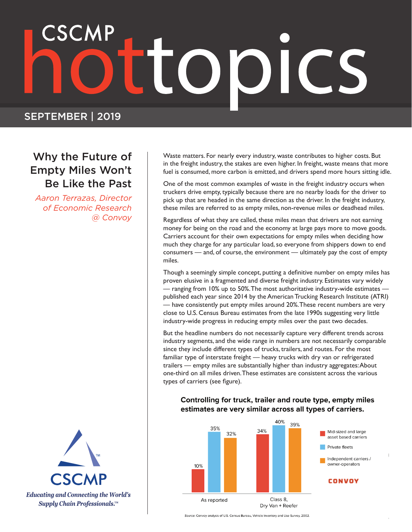# SEPTEMBER | 2019

# Why the Future of Empty Miles Won't Be Like the Past

*Aaron Terrazas, Director of Economic Research @ Convoy*



Waste matters. For nearly every industry, waste contributes to higher costs. But in the freight industry, the stakes are even higher. In freight, waste means that more fuel is consumed, more carbon is emitted, and drivers spend more hours sitting idle.

One of the most common examples of waste in the freight industry occurs when truckers drive empty, typically because there are no nearby loads for the driver to pick up that are headed in the same direction as the driver. In the freight industry, these miles are referred to as empty miles, non-revenue miles or deadhead miles.

Regardless of what they are called, these miles mean that drivers are not earning money for being on the road and the economy at large pays more to move goods. Carriers account for their own expectations for empty miles when deciding how much they charge for any particular load, so everyone from shippers down to end consumers — and, of course, the environment — ultimately pay the cost of empty miles.

Though a seemingly simple concept, putting a definitive number on empty miles has proven elusive in a fragmented and diverse freight industry. Estimates vary widely — ranging from 10% up to 50%. The most authoritative industry-wide estimates published each year since 2014 by the American Trucking Research Institute (ATRI) — have consistently put empty miles around 20%. These recent numbers are very close to U.S. Census Bureau estimates from the late 1990s suggesting very little industry-wide progress in reducing empty miles over the past two decades.

But the headline numbers do not necessarily capture very different trends across industry segments, and the wide range in numbers are not necessarily comparable since they include different types of trucks, trailers, and routes. For the most familiar type of interstate freight — heavy trucks with dry van or refrigerated trailers — empty miles are substantially higher than industry aggregates: About one-third on all miles driven. These estimates are consistent across the various types of carriers (see figure).

### Controlling for truck, trailer and route type, empty miles estimates are very similar across all types of carriers.



Source: Convoy analysis of U.S. Census Bureau, Vehicle Inventory and Use Survey, 2002